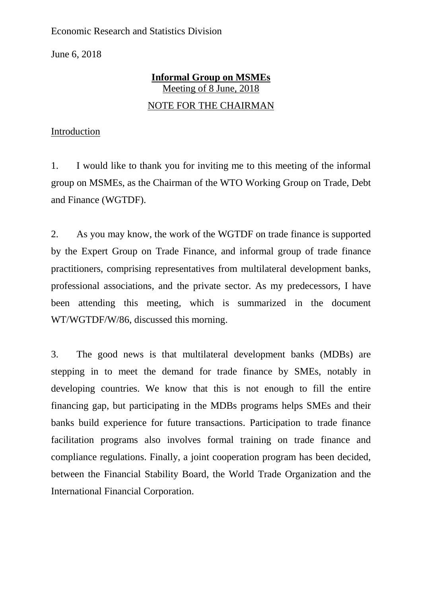Economic Research and Statistics Division

June 6, 2018

## **Informal Group on MSMEs** Meeting of 8 June, 2018 NOTE FOR THE CHAIRMAN

## Introduction

1. I would like to thank you for inviting me to this meeting of the informal group on MSMEs, as the Chairman of the WTO Working Group on Trade, Debt and Finance (WGTDF).

2. As you may know, the work of the WGTDF on trade finance is supported by the Expert Group on Trade Finance, and informal group of trade finance practitioners, comprising representatives from multilateral development banks, professional associations, and the private sector. As my predecessors, I have been attending this meeting, which is summarized in the document WT/WGTDF/W/86, discussed this morning.

3. The good news is that multilateral development banks (MDBs) are stepping in to meet the demand for trade finance by SMEs, notably in developing countries. We know that this is not enough to fill the entire financing gap, but participating in the MDBs programs helps SMEs and their banks build experience for future transactions. Participation to trade finance facilitation programs also involves formal training on trade finance and compliance regulations. Finally, a joint cooperation program has been decided, between the Financial Stability Board, the World Trade Organization and the International Financial Corporation.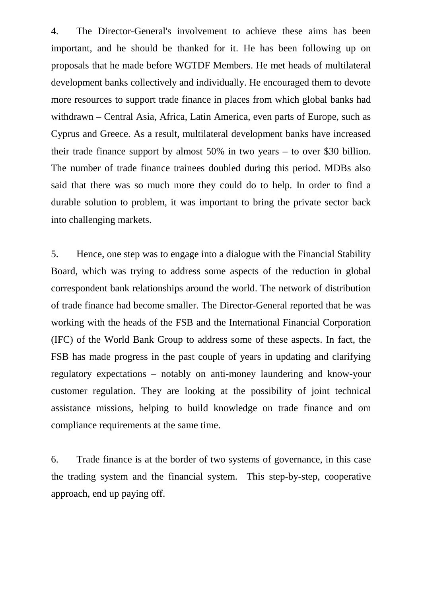4. The Director-General's involvement to achieve these aims has been important, and he should be thanked for it. He has been following up on proposals that he made before WGTDF Members. He met heads of multilateral development banks collectively and individually. He encouraged them to devote more resources to support trade finance in places from which global banks had withdrawn – Central Asia, Africa, Latin America, even parts of Europe, such as Cyprus and Greece. As a result, multilateral development banks have increased their trade finance support by almost 50% in two years – to over \$30 billion. The number of trade finance trainees doubled during this period. MDBs also said that there was so much more they could do to help. In order to find a durable solution to problem, it was important to bring the private sector back into challenging markets.

5. Hence, one step was to engage into a dialogue with the Financial Stability Board, which was trying to address some aspects of the reduction in global correspondent bank relationships around the world. The network of distribution of trade finance had become smaller. The Director-General reported that he was working with the heads of the FSB and the International Financial Corporation (IFC) of the World Bank Group to address some of these aspects. In fact, the FSB has made progress in the past couple of years in updating and clarifying regulatory expectations – notably on anti-money laundering and know-your customer regulation. They are looking at the possibility of joint technical assistance missions, helping to build knowledge on trade finance and om compliance requirements at the same time.

6. Trade finance is at the border of two systems of governance, in this case the trading system and the financial system. This step-by-step, cooperative approach, end up paying off.